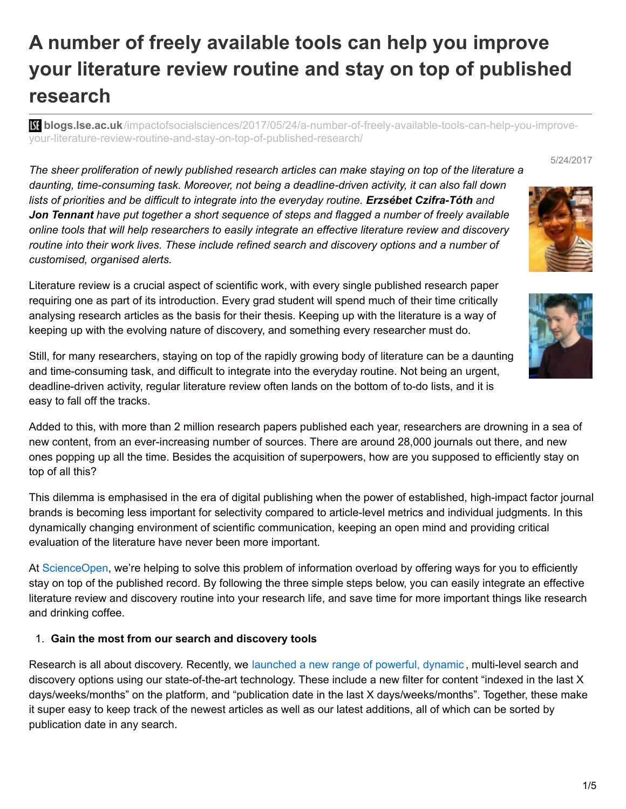# **A number of freely available tools can help you improve your literature review routine and stay on top of published research**

**bli blogs.lse.ac.uk**[/impactofsocialsciences/2017/05/24/a-number-of-freely-available-tools-can-help-you-improve](http://blogs.lse.ac.uk/impactofsocialsciences/2017/05/24/a-number-of-freely-available-tools-can-help-you-improve-your-literature-review-routine-and-stay-on-top-of-published-research/)your-literature-review-routine-and-stay-on-top-of-published-research/

5/24/2017

*The sheer proliferation of newly published research articles can make staying on top of the literature a daunting, time-consuming task. Moreover, not being a deadline-driven activity, it can also fall down lists of priorities and be difficult to integrate into the everyday routine. Erzsébet Czifra-Tóth and Jon Tennant have put together a short sequence of steps and flagged a number of freely available online tools that will help researchers to easily integrate an effective literature review and discovery routine into their work lives. These include refined search and discovery options and a number of customised, organised alerts.*

Literature review is a crucial aspect of scientific work, with every single published research paper requiring one as part of its introduction. Every grad student will spend much of their time critically analysing research articles as the basis for their thesis. Keeping up with the literature is a way of keeping up with the evolving nature of discovery, and something every researcher must do.

Still, for many researchers, staying on top of the rapidly growing body of literature can be a daunting and time-consuming task, and difficult to integrate into the everyday routine. Not being an urgent, deadline-driven activity, regular literature review often lands on the bottom of to-do lists, and it is easy to fall off the tracks.

Added to this, with more than 2 million research papers published each year, researchers are drowning in a sea of new content, from an ever-increasing number of sources. There are around 28,000 journals out there, and new ones popping up all the time. Besides the acquisition of superpowers, how are you supposed to efficiently stay on top of all this?

This dilemma is emphasised in the era of digital publishing when the power of established, high-impact factor journal brands is becoming less important for selectivity compared to article-level metrics and individual judgments. In this dynamically changing environment of scientific communication, keeping an open mind and providing critical evaluation of the literature have never been more important.

At [ScienceOpen](https://www.scienceopen.com/), we're helping to solve this problem of information overload by offering ways for you to efficiently stay on top of the published record. By following the three simple steps below, you can easily integrate an effective literature review and discovery routine into your research life, and save time for more important things like research and drinking coffee.

# 1. **Gain the most from our search and discovery tools**

Research is all about discovery. Recently, we [launched](http://blog.scienceopen.com/2017/03/innovative-new-features-launched-at-scienceopen/) a new range of powerful, dynamic, multi-level search and discovery options using our state-of-the-art technology. These include a new filter for content "indexed in the last X days/weeks/months" on the platform, and "publication date in the last X days/weeks/months". Together, these make it super easy to keep track of the newest articles as well as our latest additions, all of which can be sorted by publication date in any search.

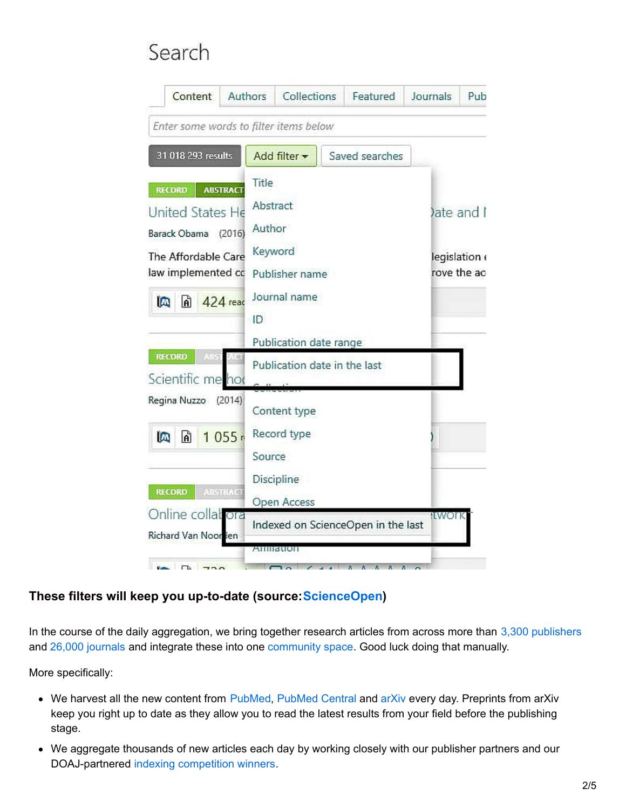# Search

| Content                                                                                                                | Authors                                                                                                                                                                 | Collections                           |  | Featured                           | Journals | Pub                                     |  |
|------------------------------------------------------------------------------------------------------------------------|-------------------------------------------------------------------------------------------------------------------------------------------------------------------------|---------------------------------------|--|------------------------------------|----------|-----------------------------------------|--|
| Enter some words to filter items below                                                                                 |                                                                                                                                                                         |                                       |  |                                    |          |                                         |  |
| 31 018 293 results                                                                                                     | Add filter -                                                                                                                                                            |                                       |  | Saved searches                     |          |                                         |  |
| <b>RECORD</b><br>United States He<br>Barack Obama (2016)<br>The Affordable Care<br>law implemented cd<br>$\omega$<br>h | Title<br><b>ABSTRACT</b><br>Abstract<br>Author<br>Keyword<br>Publisher name<br>Journal name<br>424 read<br>ID<br>Publication date range<br>Publication date in the last |                                       |  |                                    |          | ate and I<br>legislation<br>rove the ac |  |
| <b>RECORD</b><br>Scientific me hot                                                                                     |                                                                                                                                                                         |                                       |  |                                    |          |                                         |  |
| Regina Nuzzo<br>(2014)<br>ĥ<br>1055r<br>Ø                                                                              | Source                                                                                                                                                                  | Content type<br>Record type           |  |                                    |          |                                         |  |
| <b>RECORD</b><br><b>ABSTRACT</b><br>Online collat ora<br>Richard Van Noorlen<br>$\sqrt{2}$ $\sqrt{2}$                  |                                                                                                                                                                         | Discipline<br>Open Access<br>Anniauon |  | Indexed on ScienceOpen in the last | !EWOFK   |                                         |  |

# **These filters will keep you up-to-date (source:[ScienceOpen](https://www.scienceopen.com/))**

In the course of the daily aggregation, we bring together research articles from across more than 3,300 [publishers](https://www.scienceopen.com/search#%7B%22id%22%3A%22%22%2C%22context%22%3Anull%2C%22kind%22%3A80%2C%22order%22%3A1%2C%22orderLowestFirst%22%3Atrue%2C%22query%22%3A%22%22%2C%22filters%22%3A%5B%5D%7D) and 26,000 [journals](https://www.scienceopen.com/search#%7B%22id%22%3A%22%22%2C%22context%22%3Anull%2C%22kind%22%3A79%2C%22order%22%3A1%2C%22orderLowestFirst%22%3Atrue%2C%22query%22%3A%22%22%2C%22filters%22%3A%5B%5D%7D) and integrate these into one [community](http://blog.scienceopen.com/2017/05/scienceopen-is-a-resource-for-the-community/) space. Good luck doing that manually.

More specifically:

- We harvest all the new content from [PubMed](https://www.ncbi.nlm.nih.gov/pmc/), PubMed Central and [arXiv](https://arxiv.org/) every day. Preprints from arXiv keep you right up to date as they allow you to read the latest results from your field before the publishing stage.
- We aggregate thousands of new articles each day by working closely with our publisher partners and our DOAJ-partnered indexing [competition](http://blog.scienceopen.com/2017/05/a-whole-new-world-of-open-access-at-scienceopen/) winners.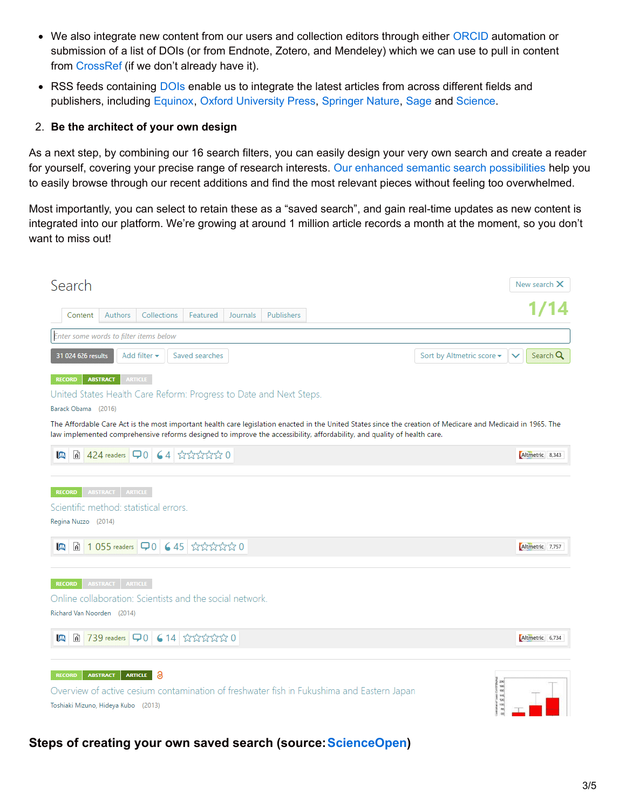- We also integrate new content from our users and collection editors through either [ORCID](http://www.orcid.org/) automation or submission of a list of DOIs (or from Endnote, Zotero, and Mendeley) which we can use to pull in content from [CrossRef](http://www.crossref.org/) (if we don't already have it).
- RSS feeds containing [DOIs](http://www.doi.org/) enable us to integrate the latest articles from across different fields and publishers, including [Equinox](http://equinoxadvisory.com/rss-feeds/), Oxford [University](https://academic.oup.com/rss/site_5204/3069.xml) Press, [Springer](http://feeds.nature.com/nature/rss/current) Nature, [Sage](http://journals.sagepub.com/rss/eng) and [Science](http://science.sciencemag.org/rss/).

#### 2. **Be the architect of your own design**

As a next step, by combining our 16 search filters, you can easily design your very own search and create a reader for yourself, covering your precise range of research interests. Our enhanced semantic search [possibilities](http://blog.scienceopen.com/2017/03/innovative-new-features-launched-at-scienceopen/) help you to easily browse through our recent additions and find the most relevant pieces without feeling too overwhelmed.

Most importantly, you can select to retain these as a "saved search", and gain real-time updates as new content is integrated into our platform. We're growing at around 1 million article records a month at the moment, so you don't want to miss out!



# **Steps of creating your own saved search (source:[ScienceOpen](https://www.scienceopen.com/))**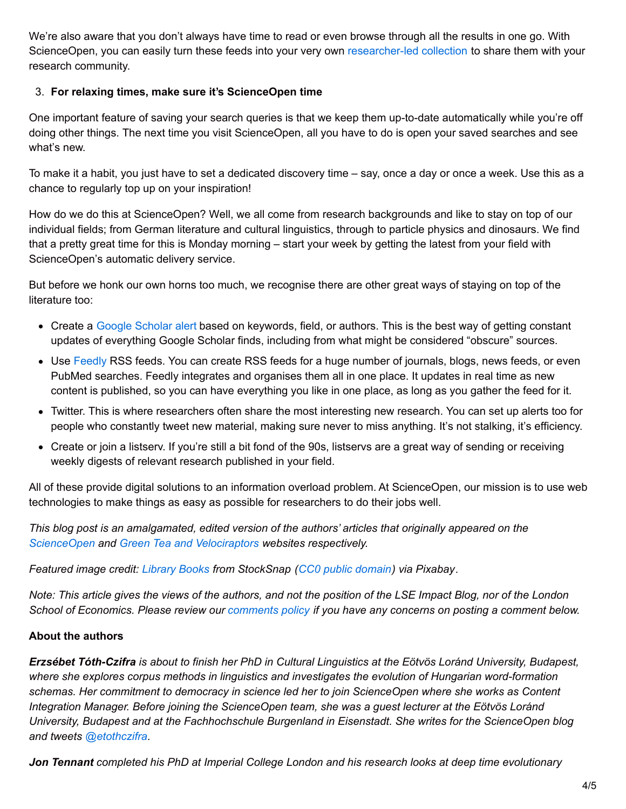We're also aware that you don't always have time to read or even browse through all the results in one go. With ScienceOpen, you can easily turn these feeds into your very own [researcher-led](http://blog.scienceopen.com/2016/04/creating-collections-now-even-easier/) collection to share them with your research community.

### 3. **For relaxing times, make sure it's ScienceOpen time**

One important feature of saving your search queries is that we keep them up-to-date automatically while you're off doing other things. The next time you visit ScienceOpen, all you have to do is open your saved searches and see what's new.

To make it a habit, you just have to set a dedicated discovery time – say, once a day or once a week. Use this as a chance to regularly top up on your inspiration!

How do we do this at ScienceOpen? Well, we all come from research backgrounds and like to stay on top of our individual fields; from German literature and cultural linguistics, through to particle physics and dinosaurs. We find that a pretty great time for this is Monday morning – start your week by getting the latest from your field with ScienceOpen's automatic delivery service.

But before we honk our own horns too much, we recognise there are other great ways of staying on top of the literature too:

- Create a Google [Scholar](https://scholar.google.co.uk/scholar_alerts?view_op=create_alert_options&alert_params=hl%3Den&hl=en) alert based on keywords, field, or authors. This is the best way of getting constant updates of everything Google Scholar finds, including from what might be considered "obscure" sources.
- Use [Feedly](http://feedly.com/) RSS feeds. You can create RSS feeds for a huge number of journals, blogs, news feeds, or even PubMed searches. Feedly integrates and organises them all in one place. It updates in real time as new content is published, so you can have everything you like in one place, as long as you gather the feed for it.
- Twitter. This is where researchers often share the most interesting new research. You can set up alerts too for people who constantly tweet new material, making sure never to miss anything. It's not stalking, it's efficiency.
- Create or join a listserv. If you're still a bit fond of the 90s, listservs are a great way of sending or receiving weekly digests of relevant research published in your field.

All of these provide digital solutions to an information overload problem. At ScienceOpen, our mission is to use web technologies to make things as easy as possible for researchers to do their jobs well.

*This blog post is an amalgamated, edited version of the authors' articles that originally appeared on the [ScienceOpen](http://blog.scienceopen.com/2017/05/improve-your-literature-review-routine-and-get-your-daily-dose-of-science-with-us/) and Green Tea and [Velociraptors](http://fossilsandshit.com/how-to-efficiently-stay-on-top-of-published-research/) websites respectively.*

*Featured image credit: [Library](https://pixabay.com/en/library-books-shelves-student-922998/) Books from StockSnap (CC0 public [domain](https://creativecommons.org/publicdomain/zero/1.0/deed.en)) via Pixabay.*

Note: This article gives the views of the authors, and not the position of the LSE Impact Blog, nor of the London School of Economics. Please review our [comments](http://blogs.lse.ac.uk/impactofsocialsciences/about-the-blog/comments-policy/) policy if you have any concerns on posting a comment below.

# **About the authors**

Erzsébet Tóth-Czifra is about to finish her PhD in Cultural Linguistics at the Eötvös Loránd University, Budapest, *where she explores corpus methods in linguistics and investigates the evolution of Hungarian word-formation schemas. Her commitment to democracy in science led her to join ScienceOpen where she works as Content Integration Manager. Before joining the ScienceOpen team, she was a guest lecturer at the Eötvös Loránd University, Budapest and at the Fachhochschule Burgenland in Eisenstadt. She writes for the ScienceOpen blog and tweets [@etothczifra](https://twitter.com/etothczifra).*

*Jon Tennant completed his PhD at Imperial College London and his research looks at deep time evolutionary*